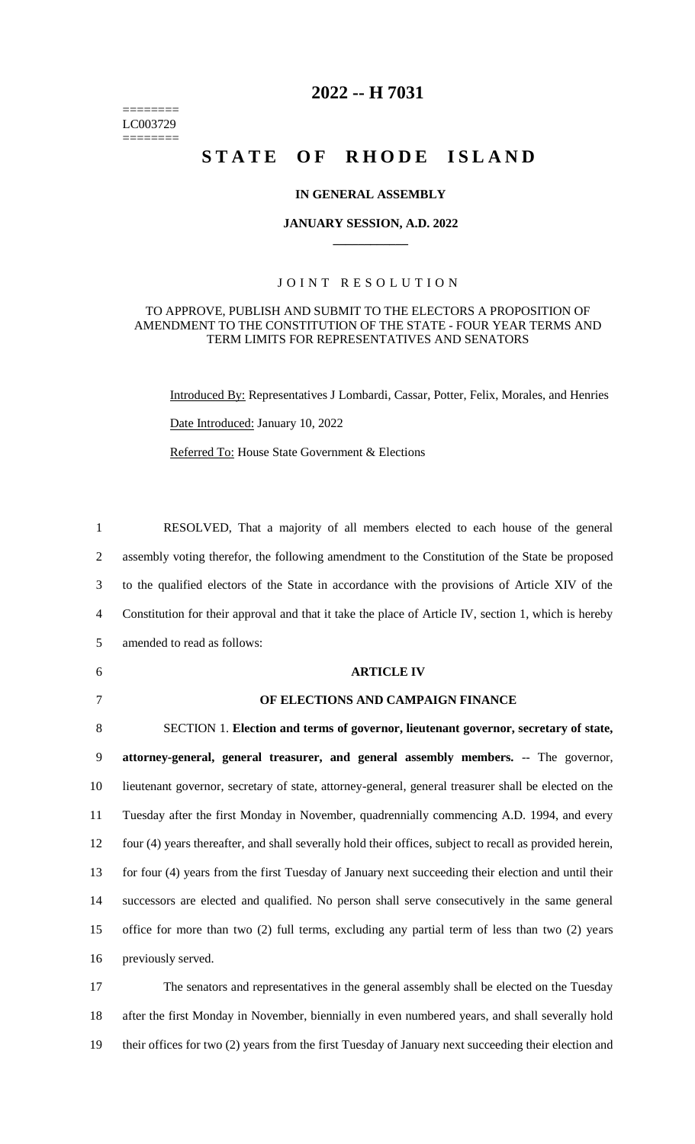======== LC003729 ========

# **2022 -- H 7031**

# STATE OF RHODE ISLAND

### **IN GENERAL ASSEMBLY**

### **JANUARY SESSION, A.D. 2022 \_\_\_\_\_\_\_\_\_\_\_\_**

## JOINT RESOLUTION

### TO APPROVE, PUBLISH AND SUBMIT TO THE ELECTORS A PROPOSITION OF AMENDMENT TO THE CONSTITUTION OF THE STATE - FOUR YEAR TERMS AND TERM LIMITS FOR REPRESENTATIVES AND SENATORS

Introduced By: Representatives J Lombardi, Cassar, Potter, Felix, Morales, and Henries Date Introduced: January 10, 2022

Referred To: House State Government & Elections

 RESOLVED, That a majority of all members elected to each house of the general assembly voting therefor, the following amendment to the Constitution of the State be proposed to the qualified electors of the State in accordance with the provisions of Article XIV of the Constitution for their approval and that it take the place of Article IV, section 1, which is hereby amended to read as follows: **ARTICLE IV OF ELECTIONS AND CAMPAIGN FINANCE** SECTION 1. **Election and terms of governor, lieutenant governor, secretary of state, attorney-general, general treasurer, and general assembly members.** -- The governor, lieutenant governor, secretary of state, attorney-general, general treasurer shall be elected on the Tuesday after the first Monday in November, quadrennially commencing A.D. 1994, and every four (4) years thereafter, and shall severally hold their offices, subject to recall as provided herein, for four (4) years from the first Tuesday of January next succeeding their election and until their successors are elected and qualified. No person shall serve consecutively in the same general office for more than two (2) full terms, excluding any partial term of less than two (2) years previously served. The senators and representatives in the general assembly shall be elected on the Tuesday

18 after the first Monday in November, biennially in even numbered years, and shall severally hold 19 their offices for two (2) years from the first Tuesday of January next succeeding their election and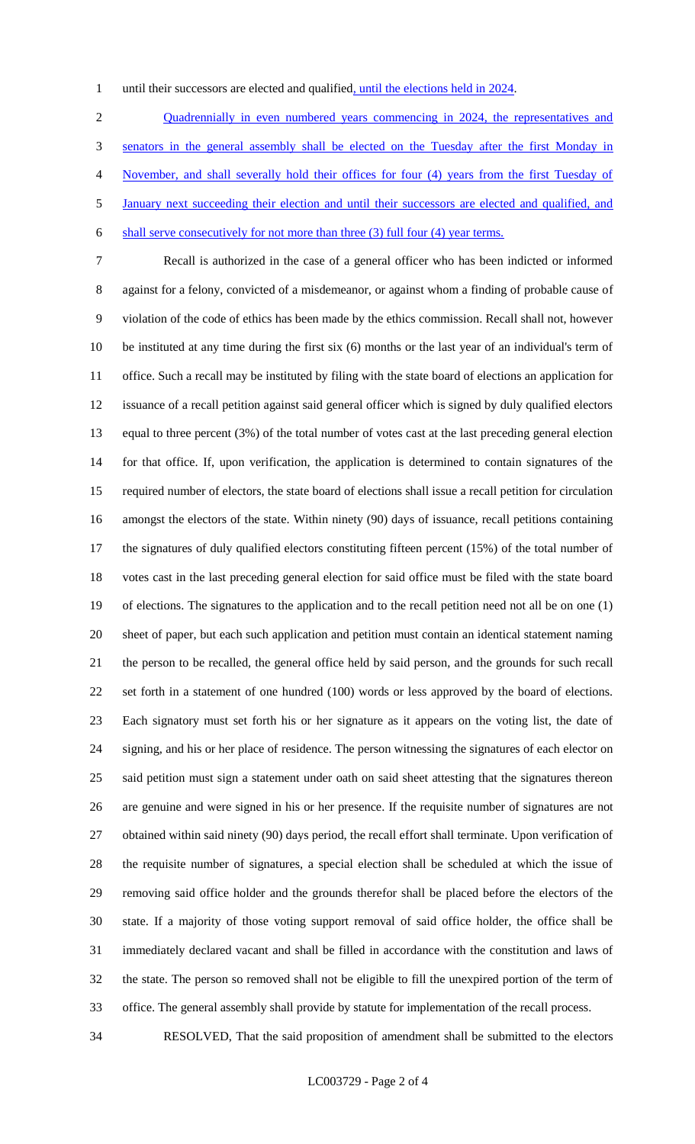1 until their successors are elected and qualified, until the elections held in 2024.

2 Quadrennially in even numbered years commencing in 2024, the representatives and senators in the general assembly shall be elected on the Tuesday after the first Monday in November, and shall severally hold their offices for four (4) years from the first Tuesday of January next succeeding their election and until their successors are elected and qualified, and shall serve consecutively for not more than three (3) full four (4) year terms.

 Recall is authorized in the case of a general officer who has been indicted or informed against for a felony, convicted of a misdemeanor, or against whom a finding of probable cause of violation of the code of ethics has been made by the ethics commission. Recall shall not, however be instituted at any time during the first six (6) months or the last year of an individual's term of office. Such a recall may be instituted by filing with the state board of elections an application for issuance of a recall petition against said general officer which is signed by duly qualified electors equal to three percent (3%) of the total number of votes cast at the last preceding general election for that office. If, upon verification, the application is determined to contain signatures of the required number of electors, the state board of elections shall issue a recall petition for circulation amongst the electors of the state. Within ninety (90) days of issuance, recall petitions containing the signatures of duly qualified electors constituting fifteen percent (15%) of the total number of votes cast in the last preceding general election for said office must be filed with the state board of elections. The signatures to the application and to the recall petition need not all be on one (1) sheet of paper, but each such application and petition must contain an identical statement naming the person to be recalled, the general office held by said person, and the grounds for such recall set forth in a statement of one hundred (100) words or less approved by the board of elections. Each signatory must set forth his or her signature as it appears on the voting list, the date of signing, and his or her place of residence. The person witnessing the signatures of each elector on said petition must sign a statement under oath on said sheet attesting that the signatures thereon are genuine and were signed in his or her presence. If the requisite number of signatures are not obtained within said ninety (90) days period, the recall effort shall terminate. Upon verification of the requisite number of signatures, a special election shall be scheduled at which the issue of removing said office holder and the grounds therefor shall be placed before the electors of the state. If a majority of those voting support removal of said office holder, the office shall be immediately declared vacant and shall be filled in accordance with the constitution and laws of the state. The person so removed shall not be eligible to fill the unexpired portion of the term of office. The general assembly shall provide by statute for implementation of the recall process.

RESOLVED, That the said proposition of amendment shall be submitted to the electors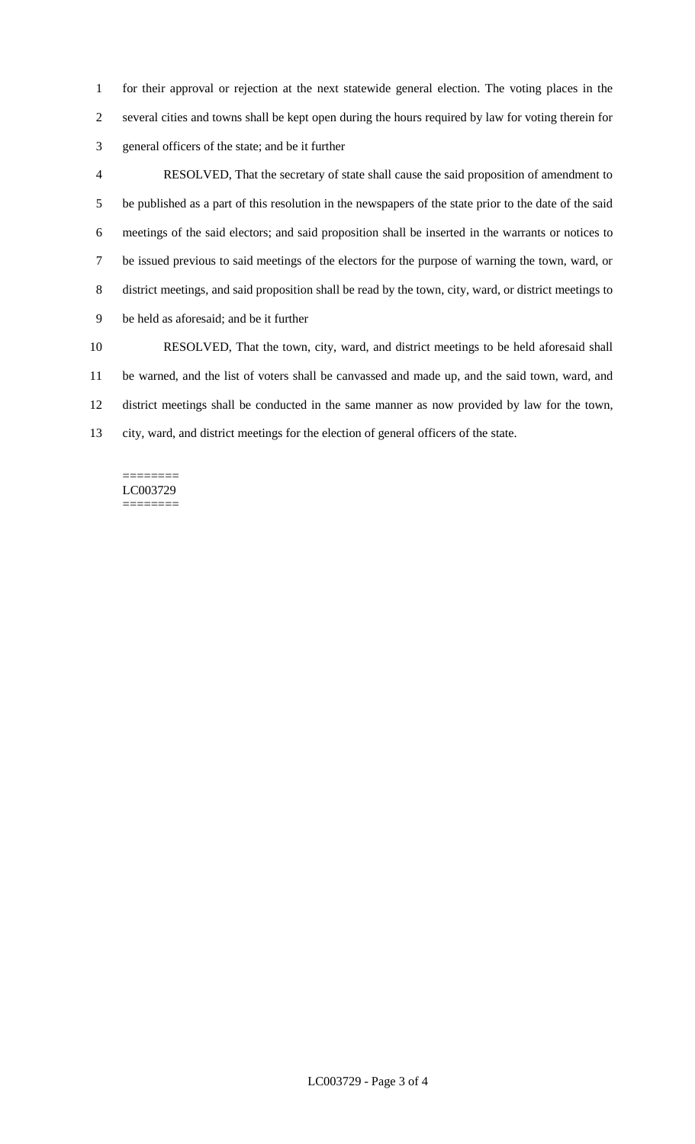for their approval or rejection at the next statewide general election. The voting places in the several cities and towns shall be kept open during the hours required by law for voting therein for general officers of the state; and be it further

 RESOLVED, That the secretary of state shall cause the said proposition of amendment to be published as a part of this resolution in the newspapers of the state prior to the date of the said meetings of the said electors; and said proposition shall be inserted in the warrants or notices to be issued previous to said meetings of the electors for the purpose of warning the town, ward, or district meetings, and said proposition shall be read by the town, city, ward, or district meetings to be held as aforesaid; and be it further RESOLVED, That the town, city, ward, and district meetings to be held aforesaid shall

 be warned, and the list of voters shall be canvassed and made up, and the said town, ward, and district meetings shall be conducted in the same manner as now provided by law for the town, city, ward, and district meetings for the election of general officers of the state.

#### ======== LC003729 ========